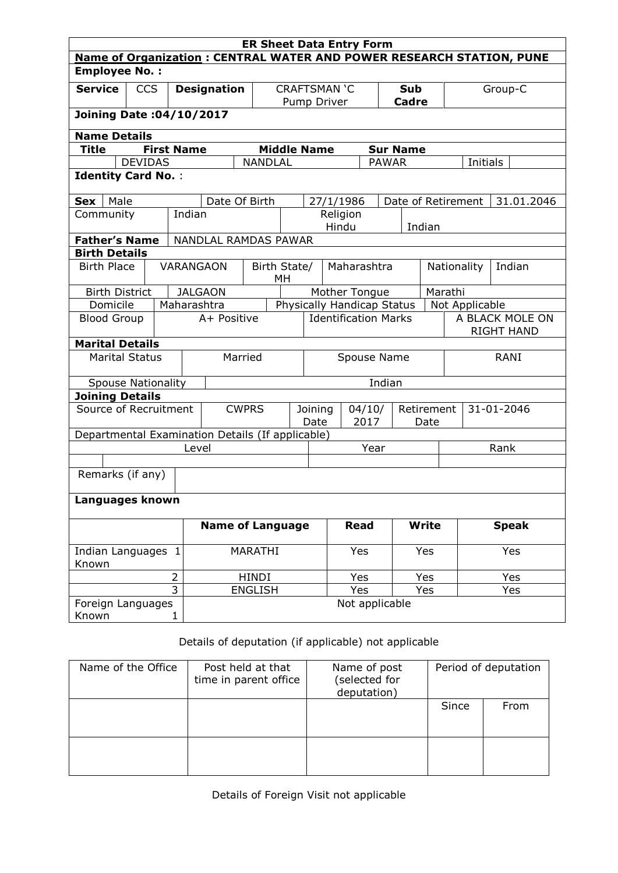|                                              |                |                    |                                                  | <b>ER Sheet Data Entry Form</b> |                                   |                            |                |                 |                |                                      |                                                                             |  |
|----------------------------------------------|----------------|--------------------|--------------------------------------------------|---------------------------------|-----------------------------------|----------------------------|----------------|-----------------|----------------|--------------------------------------|-----------------------------------------------------------------------------|--|
|                                              |                |                    |                                                  |                                 |                                   |                            |                |                 |                |                                      | <b>Name of Organization: CENTRAL WATER AND POWER RESEARCH STATION, PUNE</b> |  |
| <b>Employee No.:</b>                         |                |                    |                                                  |                                 |                                   |                            |                |                 |                |                                      |                                                                             |  |
| <b>Service</b>                               | <b>CCS</b>     | <b>Designation</b> |                                                  |                                 | <b>CRAFTSMAN 'C</b>               |                            |                |                 | Sub            | Group-C                              |                                                                             |  |
|                                              |                |                    |                                                  |                                 | Pump Driver                       |                            |                |                 | <b>Cadre</b>   |                                      |                                                                             |  |
| Joining Date: 04/10/2017                     |                |                    |                                                  |                                 |                                   |                            |                |                 |                |                                      |                                                                             |  |
| <b>Name Details</b>                          |                |                    |                                                  |                                 |                                   |                            |                |                 |                |                                      |                                                                             |  |
| <b>Title</b>                                 |                | <b>First Name</b>  |                                                  |                                 | <b>Middle Name</b>                |                            |                | <b>Sur Name</b> |                |                                      |                                                                             |  |
|                                              | <b>DEVIDAS</b> |                    |                                                  | <b>NANDLAL</b>                  |                                   |                            |                | <b>PAWAR</b>    |                | Initials                             |                                                                             |  |
| <b>Identity Card No.:</b>                    |                |                    |                                                  |                                 |                                   |                            |                |                 |                |                                      |                                                                             |  |
|                                              |                |                    |                                                  |                                 |                                   |                            |                |                 |                |                                      |                                                                             |  |
| Male<br>Sex                                  |                |                    | Date Of Birth                                    |                                 |                                   | 27/1/1986                  |                |                 |                | Date of Retirement                   | 31.01.2046                                                                  |  |
| Community                                    |                |                    | Indian                                           |                                 |                                   |                            | Religion       |                 |                |                                      |                                                                             |  |
|                                              |                |                    |                                                  |                                 |                                   |                            | Hindu          |                 | Indian         |                                      |                                                                             |  |
| <b>Father's Name</b><br><b>Birth Details</b> |                |                    | NANDLAL RAMDAS PAWAR                             |                                 |                                   |                            |                |                 |                |                                      |                                                                             |  |
| <b>Birth Place</b>                           |                |                    | <b>VARANGAON</b>                                 |                                 |                                   |                            |                |                 |                | Nationality                          | Indian                                                                      |  |
|                                              |                |                    |                                                  |                                 | Birth State/<br>Maharashtra<br>МH |                            |                |                 |                |                                      |                                                                             |  |
| <b>Birth District</b>                        |                |                    | <b>JALGAON</b>                                   |                                 | Mother Tongue                     |                            |                |                 |                | Marathi                              |                                                                             |  |
| Domicile<br>Maharashtra                      |                |                    |                                                  |                                 |                                   | Physically Handicap Status |                |                 | Not Applicable |                                      |                                                                             |  |
| <b>Blood Group</b>                           |                |                    | A+ Positive                                      |                                 | <b>Identification Marks</b>       |                            |                |                 |                | A BLACK MOLE ON<br><b>RIGHT HAND</b> |                                                                             |  |
| <b>Marital Details</b>                       |                |                    |                                                  |                                 |                                   |                            |                |                 |                |                                      |                                                                             |  |
| <b>Marital Status</b>                        |                |                    |                                                  | Married                         | Spouse Name                       |                            |                |                 |                | <b>RANI</b>                          |                                                                             |  |
| <b>Spouse Nationality</b>                    |                |                    |                                                  |                                 | Indian                            |                            |                |                 |                |                                      |                                                                             |  |
| <b>Joining Details</b>                       |                |                    |                                                  |                                 |                                   |                            |                |                 |                |                                      |                                                                             |  |
| Source of Recruitment                        |                |                    |                                                  | <b>CWPRS</b>                    | Joining<br>04/10/                 |                            |                |                 | Retirement     |                                      | 31-01-2046                                                                  |  |
|                                              |                |                    |                                                  | Date                            |                                   |                            | 2017           |                 | Date           |                                      |                                                                             |  |
|                                              |                |                    | Departmental Examination Details (If applicable) |                                 |                                   |                            |                |                 |                |                                      |                                                                             |  |
|                                              |                |                    | Level                                            |                                 |                                   |                            |                | Year            |                |                                      | Rank                                                                        |  |
|                                              |                |                    |                                                  |                                 |                                   |                            |                |                 |                |                                      |                                                                             |  |
| Remarks (if any)                             |                |                    |                                                  |                                 |                                   |                            |                |                 |                |                                      |                                                                             |  |
| Languages known                              |                |                    |                                                  |                                 |                                   |                            |                |                 |                |                                      |                                                                             |  |
|                                              |                |                    | <b>Name of Language</b>                          |                                 |                                   |                            | <b>Read</b>    |                 | <b>Write</b>   |                                      | <b>Speak</b>                                                                |  |
| Indian Languages 1<br>Known                  |                |                    |                                                  | MARATHI                         |                                   |                            | Yes            |                 | Yes            |                                      | Yes                                                                         |  |
|                                              |                | $\overline{2}$     |                                                  | <b>HINDI</b>                    |                                   |                            | Yes            |                 | Yes            |                                      | Yes                                                                         |  |
|                                              |                | $\overline{3}$     |                                                  | <b>ENGLISH</b>                  |                                   |                            | Yes            |                 | Yes            |                                      | Yes                                                                         |  |
| Foreign Languages<br>Known                   |                | 1                  |                                                  |                                 |                                   |                            | Not applicable |                 |                |                                      |                                                                             |  |

## Details of deputation (if applicable) not applicable

| Name of the Office | Post held at that<br>time in parent office | Name of post<br>(selected for<br>deputation) | Period of deputation |      |  |  |
|--------------------|--------------------------------------------|----------------------------------------------|----------------------|------|--|--|
|                    |                                            |                                              | Since                | From |  |  |
|                    |                                            |                                              |                      |      |  |  |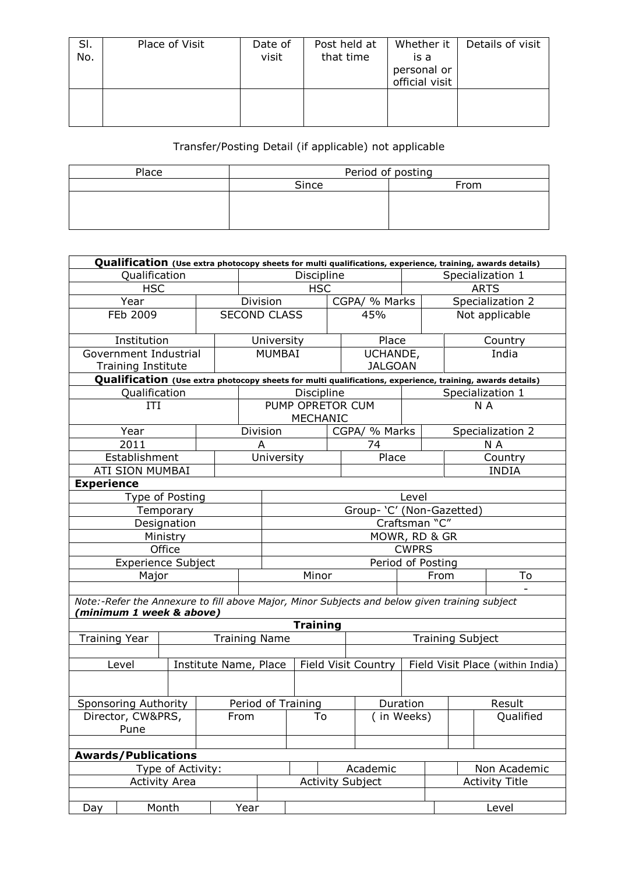| SI.<br>No. | Place of Visit | Date of<br>visit | Post held at<br>that time | Whether it<br>is a<br>personal or<br>official visit | Details of visit |
|------------|----------------|------------------|---------------------------|-----------------------------------------------------|------------------|
|            |                |                  |                           |                                                     |                  |

## Transfer/Posting Detail (if applicable) not applicable

| Place | Period of posting |      |  |  |  |  |  |
|-------|-------------------|------|--|--|--|--|--|
|       | Since             | From |  |  |  |  |  |
|       |                   |      |  |  |  |  |  |
|       |                   |      |  |  |  |  |  |
|       |                   |      |  |  |  |  |  |

| Qualification (Use extra photocopy sheets for multi qualifications, experience, training, awards details) |                            |  |            |                       |                                   |                                                                                               |          |                            |                |                                                                                                           |  |                  |
|-----------------------------------------------------------------------------------------------------------|----------------------------|--|------------|-----------------------|-----------------------------------|-----------------------------------------------------------------------------------------------|----------|----------------------------|----------------|-----------------------------------------------------------------------------------------------------------|--|------------------|
| Qualification                                                                                             |                            |  | Discipline |                       |                                   |                                                                                               |          | Specialization 1           |                |                                                                                                           |  |                  |
| <b>HSC</b>                                                                                                |                            |  |            |                       | <b>HSC</b>                        |                                                                                               |          |                            | <b>ARTS</b>    |                                                                                                           |  |                  |
|                                                                                                           | Year                       |  |            |                       | Division                          |                                                                                               |          | CGPA/ % Marks              |                | Specialization 2                                                                                          |  |                  |
| FEb 2009                                                                                                  |                            |  |            | <b>SECOND CLASS</b>   |                                   | 45%                                                                                           |          |                            | Not applicable |                                                                                                           |  |                  |
|                                                                                                           | Institution                |  |            |                       | University                        |                                                                                               |          | Place                      |                | Country                                                                                                   |  |                  |
|                                                                                                           | Government Industrial      |  |            | MUMBAI                |                                   |                                                                                               |          | UCHANDE,<br><b>JALGOAN</b> |                |                                                                                                           |  | India            |
|                                                                                                           | <b>Training Institute</b>  |  |            |                       |                                   |                                                                                               |          |                            |                | Qualification (Use extra photocopy sheets for multi qualifications, experience, training, awards details) |  |                  |
|                                                                                                           |                            |  |            |                       |                                   |                                                                                               |          |                            |                |                                                                                                           |  |                  |
|                                                                                                           | Qualification              |  |            |                       |                                   | Discipline                                                                                    |          |                            |                |                                                                                                           |  | Specialization 1 |
|                                                                                                           | ITI                        |  |            |                       |                                   | PUMP OPRETOR CUM<br><b>MECHANIC</b>                                                           |          |                            |                |                                                                                                           |  | N A              |
|                                                                                                           | Year                       |  |            |                       | Division                          |                                                                                               |          | CGPA/ % Marks              |                |                                                                                                           |  | Specialization 2 |
|                                                                                                           | 2011                       |  |            |                       | A                                 |                                                                                               |          | 74                         |                |                                                                                                           |  | N A              |
|                                                                                                           | Establishment              |  |            |                       | University                        |                                                                                               |          | Place                      |                |                                                                                                           |  | Country          |
|                                                                                                           | ATI SION MUMBAI            |  |            |                       |                                   |                                                                                               |          |                            |                |                                                                                                           |  | <b>INDIA</b>     |
| <b>Experience</b>                                                                                         |                            |  |            |                       |                                   |                                                                                               |          |                            |                |                                                                                                           |  |                  |
|                                                                                                           | Type of Posting            |  |            |                       | Level                             |                                                                                               |          |                            |                |                                                                                                           |  |                  |
|                                                                                                           | Temporary                  |  |            |                       | Group- 'C' (Non-Gazetted)         |                                                                                               |          |                            |                |                                                                                                           |  |                  |
|                                                                                                           | Designation                |  |            |                       | Craftsman "C"                     |                                                                                               |          |                            |                |                                                                                                           |  |                  |
|                                                                                                           | Ministry                   |  |            | MOWR, RD & GR         |                                   |                                                                                               |          |                            |                |                                                                                                           |  |                  |
|                                                                                                           | Office                     |  |            |                       | <b>CWPRS</b><br>Period of Posting |                                                                                               |          |                            |                |                                                                                                           |  |                  |
|                                                                                                           | <b>Experience Subject</b>  |  |            |                       |                                   |                                                                                               |          |                            |                |                                                                                                           |  |                  |
|                                                                                                           | Major                      |  |            |                       |                                   | Minor                                                                                         |          |                            |                | From                                                                                                      |  | To               |
|                                                                                                           |                            |  |            |                       |                                   |                                                                                               |          |                            |                |                                                                                                           |  |                  |
|                                                                                                           | (minimum 1 week & above)   |  |            |                       |                                   | Note:-Refer the Annexure to fill above Major, Minor Subjects and below given training subject |          |                            |                |                                                                                                           |  |                  |
|                                                                                                           |                            |  |            |                       |                                   | <b>Training</b>                                                                               |          |                            |                |                                                                                                           |  |                  |
| <b>Training Year</b>                                                                                      |                            |  |            | <b>Training Name</b>  |                                   |                                                                                               |          |                            |                | <b>Training Subject</b>                                                                                   |  |                  |
|                                                                                                           |                            |  |            |                       |                                   |                                                                                               |          |                            |                |                                                                                                           |  |                  |
|                                                                                                           | Level                      |  |            | Institute Name, Place |                                   |                                                                                               |          | <b>Field Visit Country</b> |                | Field Visit Place (within India)                                                                          |  |                  |
|                                                                                                           |                            |  |            |                       |                                   |                                                                                               |          |                            |                |                                                                                                           |  |                  |
|                                                                                                           | Sponsoring Authority       |  |            | Period of Training    |                                   |                                                                                               | Duration |                            |                |                                                                                                           |  | Result           |
| Director, CW&PRS<br>Pune                                                                                  |                            |  |            | From                  |                                   | To                                                                                            |          |                            | (in Weeks)     |                                                                                                           |  | Qualified        |
|                                                                                                           |                            |  |            |                       |                                   |                                                                                               |          |                            |                |                                                                                                           |  |                  |
|                                                                                                           | <b>Awards/Publications</b> |  |            |                       |                                   |                                                                                               |          |                            |                |                                                                                                           |  |                  |
|                                                                                                           | Type of Activity:          |  |            |                       |                                   |                                                                                               |          | Academic                   |                |                                                                                                           |  | Non Academic     |
| <b>Activity Area</b>                                                                                      |                            |  |            |                       |                                   | <b>Activity Subject</b>                                                                       |          |                            |                | <b>Activity Title</b>                                                                                     |  |                  |
|                                                                                                           |                            |  |            |                       |                                   |                                                                                               |          |                            |                |                                                                                                           |  |                  |
| Day                                                                                                       | Month                      |  |            | Year                  |                                   |                                                                                               |          |                            |                |                                                                                                           |  | Level            |